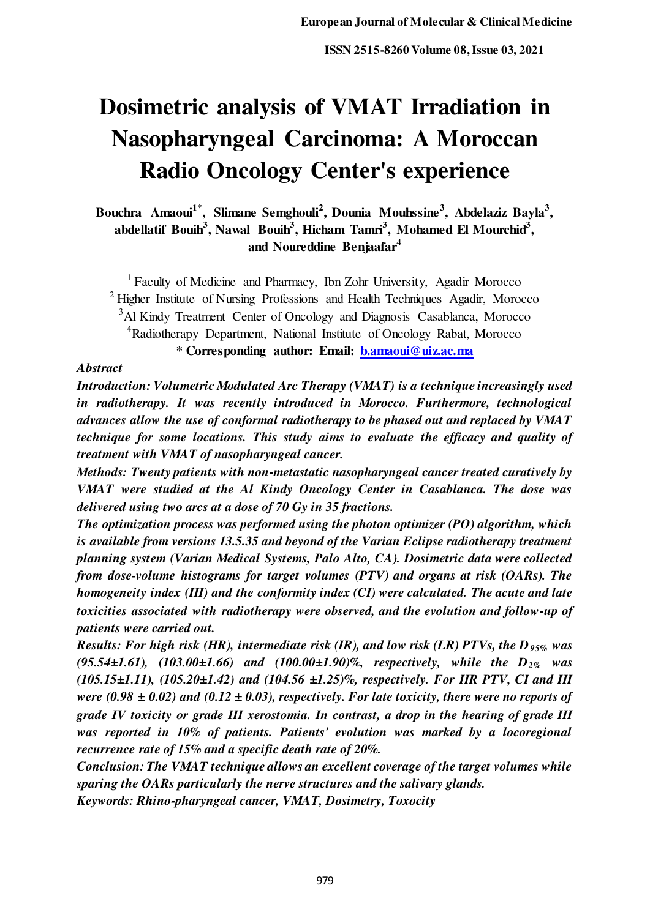# **Dosimetric analysis of VMAT Irradiation in Nasopharyngeal Carcinoma: A Moroccan Radio Oncology Center's experience**

**Bouchra Amaoui1\*, Slimane Semghouli<sup>2</sup> , Dounia Mouhssine<sup>3</sup> , Abdelaziz Bayla<sup>3</sup> , abdellatif Bouih<sup>3</sup> , Nawal Bouih<sup>3</sup> , Hicham Tamri<sup>3</sup> , Mohamed El Mourchid<sup>3</sup> , and Noureddine Benjaafar<sup>4</sup>**

<sup>1</sup> Faculty of Medicine and Pharmacy, Ibn Zohr University, Agadir Morocco  $2$  Higher Institute of Nursing Professions and Health Techniques Agadir, Morocco <sup>3</sup>Al Kindy Treatment Center of Oncology and Diagnosis Casablanca, Morocco <sup>4</sup>Radiotherapy Department, National Institute of Oncology Rabat, Morocco **\* Corresponding author: Email: [b.amaoui@uiz.ac.ma](mailto:b.amaoui@uiz.ac.ma)**

## *Abstract*

*Introduction: Volumetric Modulated Arc Therapy (VMAT) is a technique increasingly used in radiotherapy. It was recently introduced in Morocco. Furthermore, technological advances allow the use of conformal radiotherapy to be phased out and replaced by VMAT technique for some locations. This study aims to evaluate the efficacy and quality of treatment with VMAT of nasopharyngeal cancer.* 

*Methods: Twenty patients with non-metastatic nasopharyngeal cancer treated curatively by VMAT were studied at the Al Kindy Oncology Center in Casablanca. The dose was delivered using two arcs at a dose of 70 Gy in 35 fractions.* 

*The optimization process was performed using the photon optimizer (PO) algorithm, which is available from versions 13.5.35 and beyond of the Varian Eclipse radiotherapy treatment planning system (Varian Medical Systems, Palo Alto, CA). Dosimetric data were collected from dose-volume histograms for target volumes (PTV) and organs at risk (OARs). The homogeneity index (HI) and the conformity index (CI) were calculated. The acute and late toxicities associated with radiotherapy were observed, and the evolution and follow-up of patients were carried out.* 

*Results: For high risk (HR), intermediate risk (IR), and low risk (LR) PTVs, the D95% was (95.54±1.61), (103.00±1.66) and (100.00±1.90)%, respectively, while the D2% was (105.15±1.11), (105.20±1.42) and (104.56 ±1.25)%, respectively. For HR PTV, CI and HI were* (0.98  $\pm$  0.02) and (0.12  $\pm$  0.03), respectively. For late toxicity, there were no reports of *grade IV toxicity or grade III xerostomia. In contrast, a drop in the hearing of grade III was reported in 10% of patients. Patients' evolution was marked by a locoregional recurrence rate of 15% and a specific death rate of 20%.* 

*Conclusion: The VMAT technique allows an excellent coverage of the target volumes while sparing the OARs particularly the nerve structures and the salivary glands.* 

*Keywords: Rhino-pharyngeal cancer, VMAT, Dosimetry, Toxocity*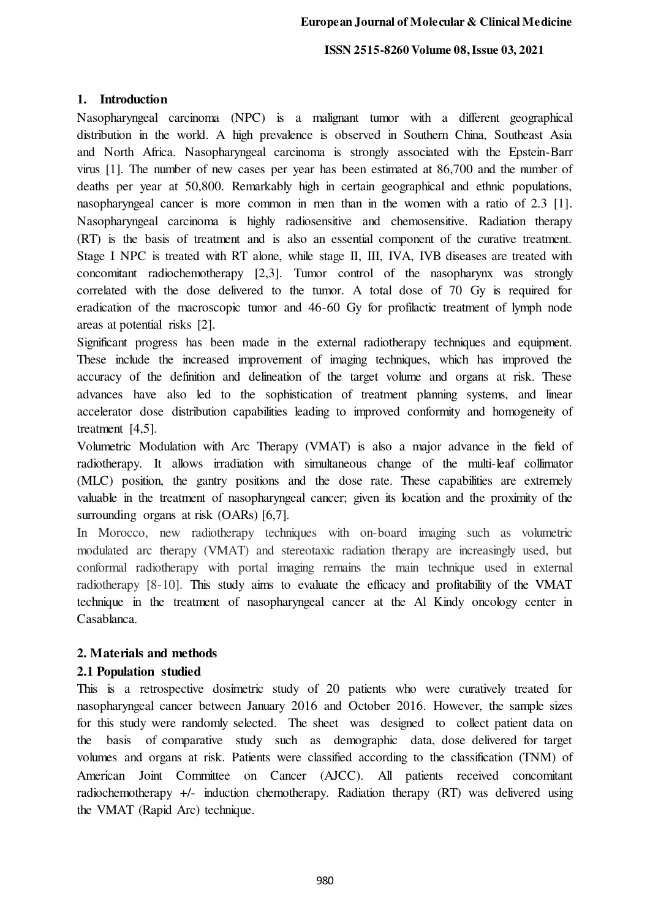# **1. Introduction**

Nasopharyngeal carcinoma (NPC) is a malignant tumor with a different geographical distribution in the world. A high prevalence is observed in Southern China, Southeast Asia and North Africa. Nasopharyngeal carcinoma is strongly associated with the Epstein-Barr virus [1]. The number of new cases per year has been estimated at 86,700 and the number of deaths per year at 50,800. Remarkably high in certain geographical and ethnic populations, nasopharyngeal cancer is more common in men than in the women with a ratio of 2.3 [1]. Nasopharyngeal carcinoma is highly radiosensitive and chemosensitive. Radiation therapy (RT) is the basis of treatment and is also an essential component of the curative treatment. Stage I NPC is treated with RT alone, while stage II, III, IVA, IVB diseases are treated with concomitant radiochemotherapy [2,3]. Tumor control of the nasopharynx was strongly correlated with the dose delivered to the tumor. A total dose of 70 Gy is required for eradication of the macroscopic tumor and 46-60 Gy for profilactic treatment of lymph node areas at potential risks [2].

Significant progress has been made in the external radiotherapy techniques and equipment. These include the increased improvement of imaging techniques, which has improved the accuracy of the definition and delineation of the target volume and organs at risk. These advances have also led to the sophistication of treatment planning systems, and linear accelerator dose distribution capabilities leading to improved conformity and homogeneity of treatment [4,5].

Volumetric Modulation with Arc Therapy (VMAT) is also a major advance in the field of radiotherapy. It allows irradiation with simultaneous change of the multi-leaf collimator (MLC) position, the gantry positions and the dose rate. These capabilities are extremely valuable in the treatment of nasopharyngeal cancer; given its location and the proximity of the surrounding organs at risk (OARs) [6,7].

In Morocco, new radiotherapy techniques with on-board imaging such as volumetric modulated arc therapy (VMAT) and stereotaxic radiation therapy are increasingly used, but conformal radiotherapy with portal imaging remains the main technique used in external radiotherapy [8-10]. This study aims to evaluate the efficacy and profitability of the VMAT technique in the treatment of nasopharyngeal cancer at the Al Kindy oncology center in Casablanca.

# **2. Materials and methods**

# **2.1 Population studied**

This is a retrospective dosimetric study of 20 patients who were curatively treated for nasopharyngeal cancer between January 2016 and October 2016. However, the sample sizes for this study were randomly selected. The sheet was designed to collect patient data on the basis of comparative study such as demographic data, dose delivered for target volumes and organs at risk. Patients were classified according to the classification (TNM) of American Joint Committee on Cancer (AJCC). All patients received concomitant radiochemotherapy +/- induction chemotherapy. Radiation therapy (RT) was delivered using the VMAT (Rapid Arc) technique.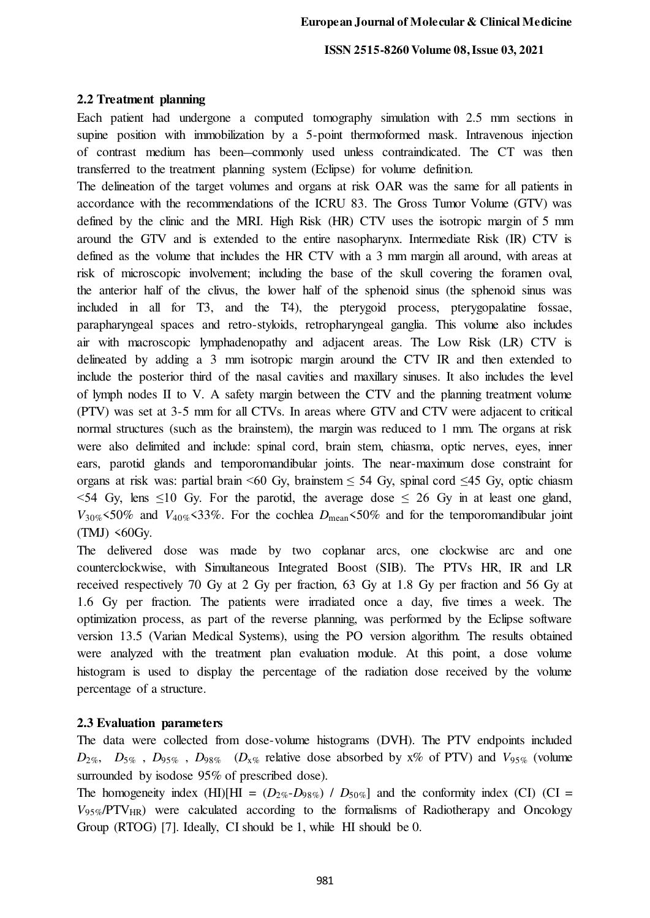## **2.2 Treatment planning**

Each patient had undergone a computed tomography simulation with 2.5 mm sections in supine position with immobilization by a 5-point thermoformed mask. Intravenous injection of contrast medium has been commonly used unless contraindicated. The CT was then transferred to the treatment planning system (Eclipse) for volume definition.

The delineation of the target volumes and organs at risk OAR was the same for all patients in accordance with the recommendations of the ICRU 83. The Gross Tumor Volume (GTV) was defined by the clinic and the MRI. High Risk (HR) CTV uses the isotropic margin of 5 mm around the GTV and is extended to the entire nasopharynx. Intermediate Risk (IR) CTV is defined as the volume that includes the HR CTV with a 3 mm margin all around, with areas at risk of microscopic involvement; including the base of the skull covering the foramen oval, the anterior half of the clivus, the lower half of the sphenoid sinus (the sphenoid sinus was included in all for T3, and the T4), the pterygoid process, pterygopalatine fossae, parapharyngeal spaces and retro-styloids, retropharyngeal ganglia. This volume also includes air with macroscopic lymphadenopathy and adjacent areas. The Low Risk (LR) CTV is delineated by adding a 3 mm isotropic margin around the CTV IR and then extended to include the posterior third of the nasal cavities and maxillary sinuses. It also includes the level of lymph nodes II to V. A safety margin between the CTV and the planning treatment volume (PTV) was set at 3-5 mm for all CTVs. In areas where GTV and CTV were adjacent to critical normal structures (such as the brainstem), the margin was reduced to 1 mm. The organs at risk were also delimited and include: spinal cord, brain stem, chiasma, optic nerves, eyes, inner ears, parotid glands and temporomandibular joints. The near-maximum dose constraint for organs at risk was: partial brain <60 Gy, brainstem  $\leq$  54 Gy, spinal cord  $\leq$ 45 Gy, optic chiasm  $\leq$  54 Gy, lens  $\leq$  10 Gy. For the parotid, the average dose  $\leq$  26 Gy in at least one gland,  $V_{30\%}$  <50% and  $V_{40\%}$  <33%. For the cochlea  $D_{\text{mean}}$  <50% and for the temporomandibular joint  $(TMJ)$  <60Gy.

The delivered dose was made by two coplanar arcs, one clockwise arc and one counterclockwise, with Simultaneous Integrated Boost (SIB). The PTVs HR, IR and LR received respectively 70 Gy at 2 Gy per fraction, 63 Gy at 1.8 Gy per fraction and 56 Gy at 1.6 Gy per fraction. The patients were irradiated once a day, five times a week. The optimization process, as part of the reverse planning, was performed by the Eclipse software version 13.5 (Varian Medical Systems), using the PO version algorithm. The results obtained were analyzed with the treatment plan evaluation module. At this point, a dose volume histogram is used to display the percentage of the radiation dose received by the volume percentage of a structure.

## **2.3 Evaluation parameters**

The data were collected from dose-volume histograms (DVH). The PTV endpoints included  $D_{2\%}$ ,  $D_{5\%}$ ,  $D_{95\%}$ ,  $D_{98\%}$  ( $D_{x\%}$  relative dose absorbed by x% of PTV) and  $V_{95\%}$  (volume surrounded by isodose 95% of prescribed dose).

The homogeneity index (HI)[HI =  $(D_{2\%} - D_{98\%})$  /  $D_{50\%}$ ] and the conformity index (CI) (CI =  $V_{95\%}/PTV_{HR}$ ) were calculated according to the formalisms of Radiotherapy and Oncology Group (RTOG) [7]. Ideally, CI should be 1, while HI should be 0.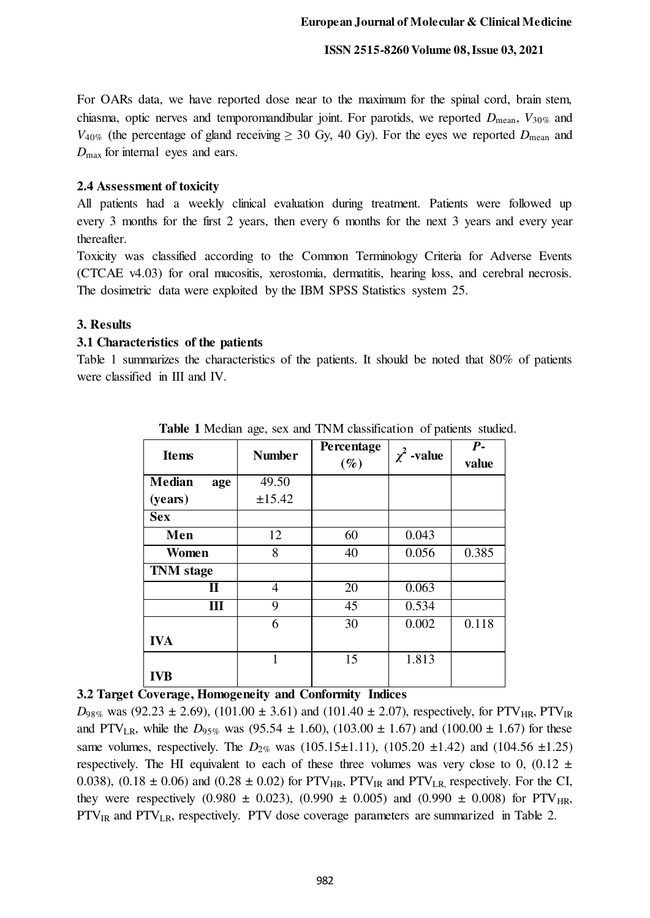For OARs data, we have reported dose near to the maximum for the spinal cord, brain stem, chiasma, optic nerves and temporomandibular joint. For parotids, we reported *D*mean, *V*30% and  $V_{40\%}$  (the percentage of gland receiving  $\geq 30$  Gy, 40 Gy). For the eyes we reported  $D_{\text{mean}}$  and *D*max for internal eyes and ears.

## **2.4 Assessment of toxicity**

All patients had a weekly clinical evaluation during treatment. Patients were followed up every 3 months for the first 2 years, then every 6 months for the next 3 years and every year thereafter.

Toxicity was classified according to the Common Terminology Criteria for Adverse Events (CTCAE v4.03) for oral mucositis, xerostomia, dermatitis, hearing loss, and cerebral necrosis. The dosimetric data were exploited by the IBM SPSS Statistics system 25.

## **3. Results**

## **3.1 Characteristics of the patients**

Table 1 summarizes the characteristics of the patients. It should be noted that 80% of patients were classified in III and IV.

| <b>Items</b>         | <b>Number</b> | Percentage<br>$(\%)$ | $\chi^2$ -value | $\overline{P}$ -<br>value |
|----------------------|---------------|----------------------|-----------------|---------------------------|
| <b>Median</b><br>age | 49.50         |                      |                 |                           |
| (years)              | ±15.42        |                      |                 |                           |
| <b>Sex</b>           |               |                      |                 |                           |
| Men                  | 12            | 60                   | 0.043           |                           |
| Women                | 8             | 40                   | 0.056           | 0.385                     |
| <b>TNM</b> stage     |               |                      |                 |                           |
| П                    | 4             | 20                   | 0.063           |                           |
| Ш                    | 9             | 45                   | 0.534           |                           |
|                      | 6             | 30                   | 0.002           | 0.118                     |
| <b>IVA</b>           |               |                      |                 |                           |
|                      | 1             | 15                   | 1.813           |                           |
| <b>IVB</b>           |               |                      |                 |                           |

 **Table 1** Median age, sex and TNM classification of patients studied.

# **3.2 Target Coverage, Homogeneity and Conformity Indices**

 $D_{98\%}$  was (92.23  $\pm$  2.69), (101.00  $\pm$  3.61) and (101.40  $\pm$  2.07), respectively, for PTV<sub>HR</sub>, PTV<sub>IR</sub> and PTV<sub>LR</sub>, while the  $D_{95\%}$  was (95.54  $\pm$  1.60), (103.00  $\pm$  1.67) and (100.00  $\pm$  1.67) for these same volumes, respectively. The  $D_{2\%}$  was (105.15 $\pm$ 1.11), (105.20  $\pm$ 1.42) and (104.56  $\pm$ 1.25) respectively. The HI equivalent to each of these three volumes was very close to 0, (0.12  $\pm$ 0.038), (0.18  $\pm$  0.06) and (0.28  $\pm$  0.02) for PTV<sub>HR</sub>, PTV<sub>IR</sub> and PTV<sub>LR</sub> respectively. For the CI, they were respectively (0.980  $\pm$  0.023), (0.990  $\pm$  0.005) and (0.990  $\pm$  0.008) for PTV<sub>HR</sub>, PTV<sub>IR</sub> and PTV<sub>LR</sub>, respectively. PTV dose coverage parameters are summarized in Table 2.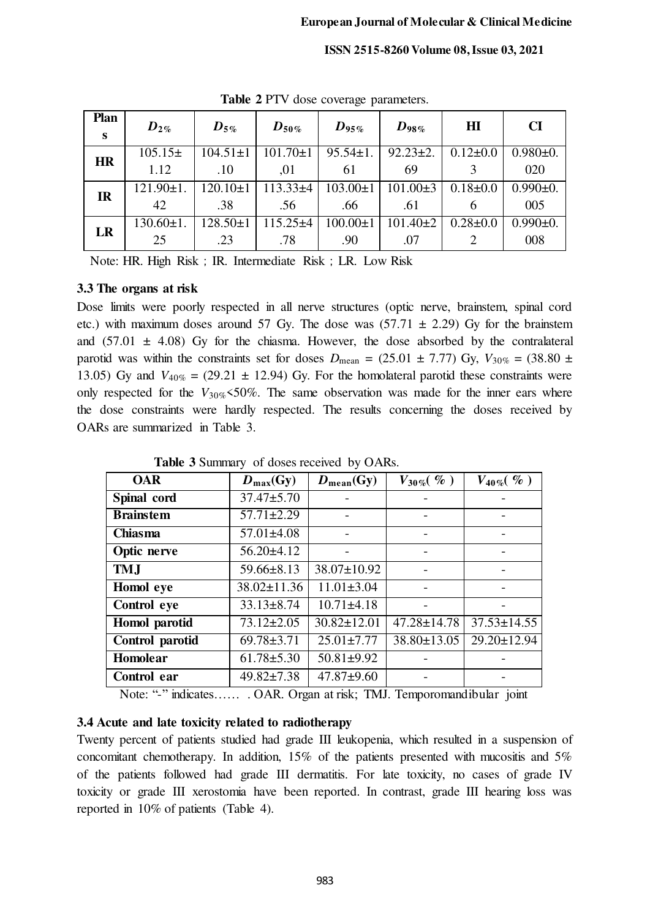| <b>CI</b>      |  |
|----------------|--|
|                |  |
|                |  |
| $0.980+0.$     |  |
| 020            |  |
| $0.990 \pm 0.$ |  |
| 005            |  |
| $0.990 \pm 0.$ |  |
| 008            |  |
|                |  |

**Table 2** PTV dose coverage parameters.

Note: HR. High Risk; IR. Intermediate Risk; LR. Low Risk

# **3.3 The organs at risk**

Dose limits were poorly respected in all nerve structures (optic nerve, brainstem, spinal cord etc.) with maximum doses around 57 Gy. The dose was  $(57.71 \pm 2.29)$  Gy for the brainstem and  $(57.01 \pm 4.08)$  Gy for the chiasma. However, the dose absorbed by the contralateral parotid was within the constraints set for doses  $D_{\text{mean}} = (25.01 \pm 7.77) \text{ Gy}, V_{30\%} = (38.80 \pm 7.77) \text{ Gy}$ 13.05) Gy and  $V_{40\%} = (29.21 \pm 12.94)$  Gy. For the homolateral parotid these constraints were only respected for the  $V_{30\%}$  <50%. The same observation was made for the inner ears where the dose constraints were hardly respected. The results concerning the doses received by OARs are summarized in Table 3.

| <b>OAR</b>       | $D_{\text{max}}(Gy)$ | $D_{mean}(Gy)$    | $V_{30\%}(\%)$    | $V_{40\%}(\%)$    |
|------------------|----------------------|-------------------|-------------------|-------------------|
| Spinal cord      | $37.47 \pm 5.70$     |                   |                   |                   |
| <b>Brainstem</b> | $57.71 \pm 2.29$     |                   |                   |                   |
| <b>Chiasma</b>   | $57.01 \pm 4.08$     |                   |                   |                   |
| Optic nerve      | $56.20 \pm 4.12$     |                   |                   |                   |
| <b>TMJ</b>       | $59.66 \pm 8.13$     | 38.07±10.92       |                   |                   |
| Homol eye        | $38.02 \pm 11.36$    | $11.01 \pm 3.04$  |                   |                   |
| Control eye      | $33.13 \pm 8.74$     | $10.71 \pm 4.18$  |                   |                   |
| Homol parotid    | $73.12 \pm 2.05$     | $30.82 \pm 12.01$ | $47.28 \pm 14.78$ | $37.53 \pm 14.55$ |
| Control parotid  | $69.78 \pm 3.71$     | $25.01 \pm 7.77$  | $38.80 \pm 13.05$ | 29.20±12.94       |
| Homolear         | $61.78 \pm 5.30$     | $50.81 \pm 9.92$  |                   |                   |
| Control ear      | $49.82 \pm 7.38$     | $47.87 + 9.60$    |                   |                   |
|                  |                      |                   |                   |                   |

**Table 3** Summary of doses received by OARs.

Note: "-" indicates…… . OAR. Organ at risk; TMJ. Temporomandibular joint

# **3.4 Acute and late toxicity related to radiotherapy**

Twenty percent of patients studied had grade III leukopenia, which resulted in a suspension of concomitant chemotherapy. In addition, 15% of the patients presented with mucositis and 5% of the patients followed had grade III dermatitis. For late toxicity, no cases of grade IV toxicity or grade III xerostomia have been reported. In contrast, grade III hearing loss was reported in 10% of patients (Table 4).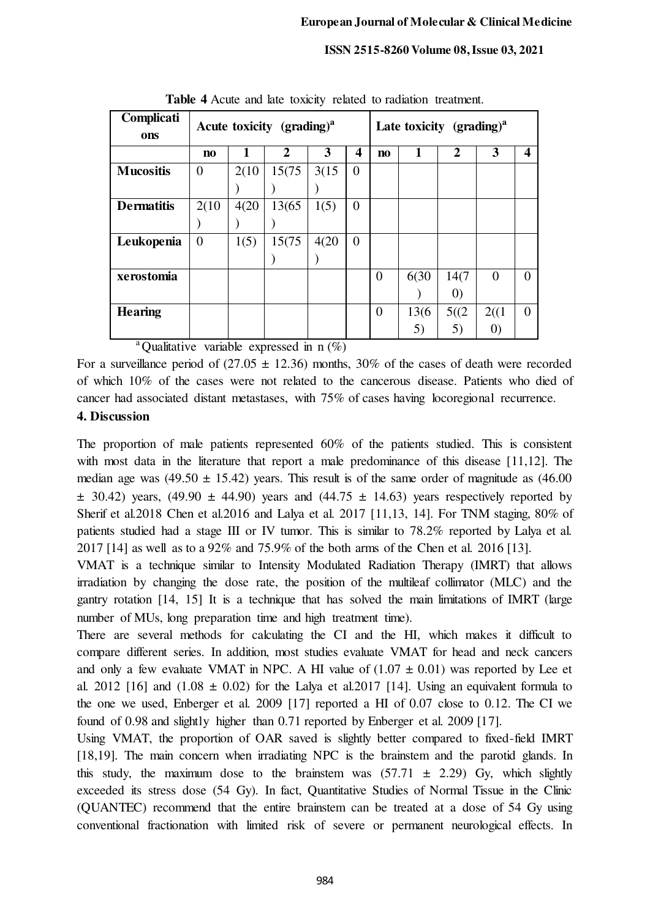| Complicati<br>ons | Acute toxicity $(\text{grading})^a$ |       |              |       | Late toxicity $(\text{grading})^a$ |                        |       |                   |                   |   |
|-------------------|-------------------------------------|-------|--------------|-------|------------------------------------|------------------------|-------|-------------------|-------------------|---|
|                   | n <sub>0</sub>                      |       | $\mathbf{2}$ | 3     | 4                                  | $\mathbf{n}\mathbf{o}$ | 1     | $\overline{2}$    | 3                 | 4 |
| <b>Mucositis</b>  | $\overline{0}$                      | 2(10) | 15(75)       | 3(15) | 0                                  |                        |       |                   |                   |   |
|                   |                                     |       |              |       |                                    |                        |       |                   |                   |   |
| <b>Dermatitis</b> | 2(10)                               | 4(20) | 13(65)       | 1(5)  | $\overline{0}$                     |                        |       |                   |                   |   |
|                   |                                     |       |              |       |                                    |                        |       |                   |                   |   |
| Leukopenia        | $\overline{0}$                      | 1(5)  | 15(75)       | 4(20) | $\overline{0}$                     |                        |       |                   |                   |   |
|                   |                                     |       |              |       |                                    |                        |       |                   |                   |   |
| xerostomia        |                                     |       |              |       |                                    | $\Omega$               | 6(30  | 14(7              | $\theta$          | 0 |
|                   |                                     |       |              |       |                                    |                        |       | $\left( 0\right)$ |                   |   |
| <b>Hearing</b>    |                                     |       |              |       |                                    | $\theta$               | 13(6) | 5((2)             | 2((1)             | 0 |
| $\Omega$ $\sim$   |                                     |       |              |       |                                    |                        | 5)    | 5)                | $\left( 0\right)$ |   |

**Table 4** Acute and late toxicity related to radiation treatment.

<sup>a</sup>Qualitative variable expressed in  $n$  (%)

For a surveillance period of  $(27.05 \pm 12.36)$  months, 30% of the cases of death were recorded of which 10% of the cases were not related to the cancerous disease. Patients who died of cancer had associated distant metastases, with 75% of cases having locoregional recurrence.

# **4. Discussion**

The proportion of male patients represented 60% of the patients studied. This is consistent with most data in the literature that report a male predominance of this disease [11,12]. The median age was  $(49.50 \pm 15.42)$  years. This result is of the same order of magnitude as  $(46.00)$  $\pm$  30.42) years, (49.90  $\pm$  44.90) years and (44.75  $\pm$  14.63) years respectively reported by Sherif et al.2018 Chen et al.2016 and Lalya et al. 2017 [11,13, 14]. For TNM staging, 80% of patients studied had a stage III or IV tumor. This is similar to 78.2% reported by Lalya et al. 2017 [14] as well as to a 92% and 75.9% of the both arms of the Chen et al. 2016 [13].

VMAT is a technique similar to Intensity Modulated Radiation Therapy (IMRT) that allows irradiation by changing the dose rate, the position of the multileaf collimator (MLC) and the gantry rotation [14, 15] It is a technique that has solved the main limitations of IMRT (large number of MUs, long preparation time and high treatment time).

There are several methods for calculating the CI and the HI, which makes it difficult to compare different series. In addition, most studies evaluate VMAT for head and neck cancers and only a few evaluate VMAT in NPC. A HI value of  $(1.07 \pm 0.01)$  was reported by Lee et al. 2012 [16] and  $(1.08 \pm 0.02)$  for the Lalya et al. 2017 [14]. Using an equivalent formula to the one we used, Enberger et al. 2009 [17] reported a HI of 0.07 close to 0.12. The CI we found of 0.98 and slightly higher than 0.71 reported by Enberger et al. 2009 [17].

Using VMAT, the proportion of OAR saved is slightly better compared to fixed-field IMRT [18,19]. The main concern when irradiating NPC is the brainstem and the parotid glands. In this study, the maximum dose to the brainstem was  $(57.71 \pm 2.29)$  Gy, which slightly exceeded its stress dose (54 Gy). In fact, Quantitative Studies of Normal Tissue in the Clinic (QUANTEC) recommend that the entire brainstem can be treated at a dose of 54 Gy using conventional fractionation with limited risk of severe or permanent neurological effects. In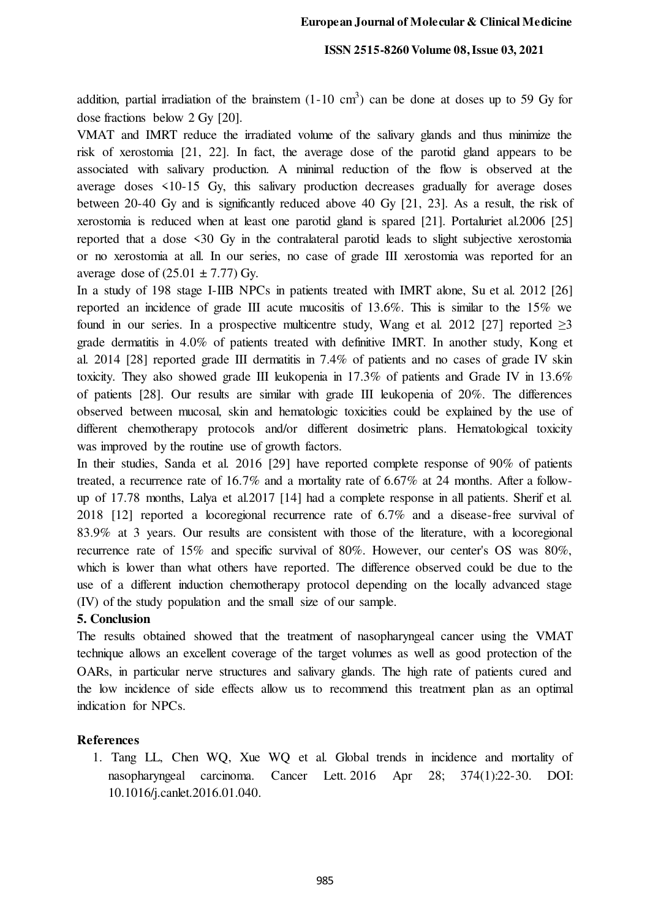addition, partial irradiation of the brainstem  $(1\n-10 \text{ cm}^3)$  can be done at doses up to 59 Gy for dose fractions below 2 Gy [20].

VMAT and IMRT reduce the irradiated volume of the salivary glands and thus minimize the risk of xerostomia [21, 22]. In fact, the average dose of the parotid gland appears to be associated with salivary production. A minimal reduction of the flow is observed at the average doses <10-15 Gy, this salivary production decreases gradually for average doses between 20-40 Gy and is significantly reduced above 40 Gy [21, 23]. As a result, the risk of xerostomia is reduced when at least one parotid gland is spared [21]. Portaluriet al.2006 [25] reported that a dose <30 Gy in the contralateral parotid leads to slight subjective xerostomia or no xerostomia at all. In our series, no case of grade III xerostomia was reported for an average dose of  $(25.01 \pm 7.77)$  Gy.

In a study of 198 stage I-IIB NPCs in patients treated with IMRT alone, Su et al. 2012 [26] reported an incidence of grade III acute mucositis of 13.6%. This is similar to the 15% we found in our series. In a prospective multicentre study, Wang et al. 2012 [27] reported  $\geq$ 3 grade dermatitis in 4.0% of patients treated with definitive IMRT. In another study, Kong et al. 2014 [28] reported grade III dermatitis in 7.4% of patients and no cases of grade IV skin toxicity. They also showed grade III leukopenia in 17.3% of patients and Grade IV in 13.6% of patients [28]. Our results are similar with grade III leukopenia of 20%. The differences observed between mucosal, skin and hematologic toxicities could be explained by the use of different chemotherapy protocols and/or different dosimetric plans. Hematological toxicity was improved by the routine use of growth factors.

In their studies, Sanda et al. 2016 [29] have reported complete response of 90% of patients treated, a recurrence rate of 16.7% and a mortality rate of 6.67% at 24 months. After a followup of 17.78 months, Lalya et al.2017 [14] had a complete response in all patients. Sherif et al. 2018 [12] reported a locoregional recurrence rate of 6.7% and a disease-free survival of 83.9% at 3 years. Our results are consistent with those of the literature, with a locoregional recurrence rate of 15% and specific survival of 80%. However, our center's OS was 80%, which is lower than what others have reported. The difference observed could be due to the use of a different induction chemotherapy protocol depending on the locally advanced stage (IV) of the study population and the small size of our sample.

## **5. Conclusion**

The results obtained showed that the treatment of nasopharyngeal cancer using the VMAT technique allows an excellent coverage of the target volumes as well as good protection of the OARs, in particular nerve structures and salivary glands. The high rate of patients cured and the low incidence of side effects allow us to recommend this treatment plan as an optimal indication for NPCs.

## **References**

1. Tang LL, Chen WQ, Xue WQ et al. Global trends in incidence and mortality of nasopharyngeal carcinoma. Cancer Lett. 2016 Apr 28; 374(1):22-30. DOI: [10.1016/j.canlet.2016.01.040.](https://doi.org/10.1016/j.canlet.2016.01.040)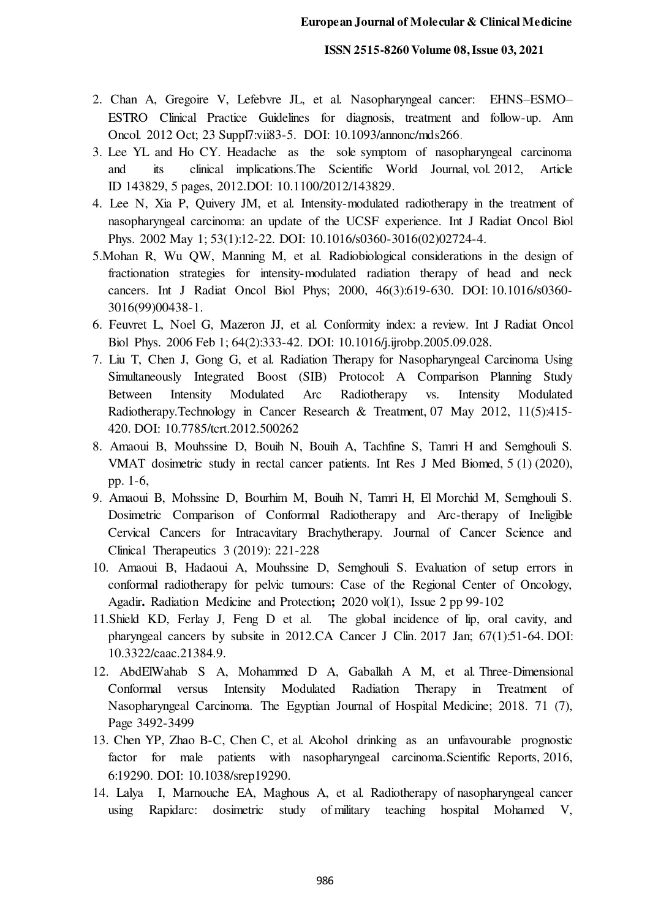- 2. Chan A, Gregoire V, Lefebvre JL, et al. Nasopharyngeal cancer: EHNS–ESMO– ESTRO Clinical Practice Guidelines for diagnosis, treatment and follow-up. Ann Oncol. 2012 Oct; 23 Suppl7:vii83-5. DOI: 10.1093/annonc/mds266.
- 3. Lee YL and Ho CY. Headache as the sole symptom of nasopharyngeal carcinoma and its clinical implications.The Scientific World Journal, vol. 2012, Article ID 143829, 5 pages, 2012.DOI: 10.1100/2012/143829.
- 4. Lee N, Xia P, Quivery JM, et al. Intensity-modulated radiotherapy in the treatment of nasopharyngeal carcinoma: an update of the UCSF experience. Int J Radiat Oncol Biol Phys. 2002 May 1; 53(1):12-22. DOI: 10.1016/s0360-3016(02)02724-4.
- 5.Mohan R, Wu QW, Manning M, et al. Radiobiological considerations in the design of fractionation strategies for intensity-modulated radiation therapy of head and neck cancers. Int J Radiat Oncol Biol Phys; 2000, 46(3):619-630. DOI[: 10.1016/s0360-](https://doi.org/10.1016/s0360-3016(99)00438-1) [3016\(99\)00438-1.](https://doi.org/10.1016/s0360-3016(99)00438-1)
- 6. Feuvret L, Noel G, Mazeron JJ, et al. Conformity index: a review. Int J Radiat Oncol Biol Phys. 2006 Feb 1; 64(2):333-42. DOI: 10.1016/j.ijrobp.2005.09.028.
- 7. Liu T, Chen J, Gong G, et al. Radiation Therapy for Nasopharyngeal Carcinoma Using Simultaneously Integrated Boost (SIB) Protocol: A Comparison Planning Study Between Intensity Modulated Arc Radiotherapy vs. Intensity Modulated Radiotherapy.Technology in Cancer Research & Treatment, 07 May 2012, 11(5):415- 420. DOI: [10.7785/tcrt.2012.500262](https://doi.org/10.7785/tcrt.2012.500262)
- 8. Amaoui B, Mouhssine D, Bouih N, Bouih A, Tachfine S, Tamri H and Semghouli S*.* VMAT dosimetric study in rectal cancer patients. Int Res J Med Biomed, 5 (1) (2020), pp. 1-6,
- 9. Amaoui B, Mohssine D, Bourhim M, Bouih N, Tamri H, El Morchid M, Semghouli S. Dosimetric Comparison of Conformal Radiotherapy and Arc-therapy of Ineligible Cervical Cancers for Intracavitary Brachytherapy. Journal of Cancer Science and Clinical Therapeutics 3 (2019): 221-228
- 10. [Amaoui](https://www.sciencedirect.com/science/article/pii/S2666555720300289#!) B, [Hadaoui](https://www.sciencedirect.com/science/article/pii/S2666555720300289#!) A, [Mouhssine D, Semghouli S.](https://www.sciencedirect.com/science/article/pii/S2666555720300289#!) Evaluation of setup errors in conformal radiotherapy for pelvic tumours: Case of the Regional Center of Oncology, Agadir**.** [Radiation Medicine and Protection](https://www.sciencedirect.com/science/journal/26665557)**;** 2020 vol(1), Issue 2 pp 99-102
- 11.Shield KD, Ferlay J, Feng D et al. The global incidence of lip, oral cavity, and pharyngeal cancers by subsite in 2012.CA Cancer J Clin. 2017 Jan; 67(1):51-64. DOI: 10.3322/caac.21384.9.
- 12. AbdElWahab S A, Mohammed D A, Gaballah A M, et al. Three-Dimensional Conformal versus Intensity Modulated Radiation Therapy in Treatment of Nasopharyngeal Carcinoma. The Egyptian Journal of Hospital Medicine; 2018. 71 (7), Page 3492-3499
- 13. Chen YP, Zhao B-C, Chen C, et al. Alcohol drinking as an unfavourable prognostic factor for male patients with nasopharyngeal carcinoma. Scientific Reports, 2016, 6:19290. DOI: [10.1038/srep19290.](https://doi.org/10.1038/srep19290)
- 14. Lalya I, Marnouche EA, Maghous A, et al. Radiotherapy of nasopharyngeal cancer using Rapidarc: dosimetric study of military teaching hospital Mohamed V,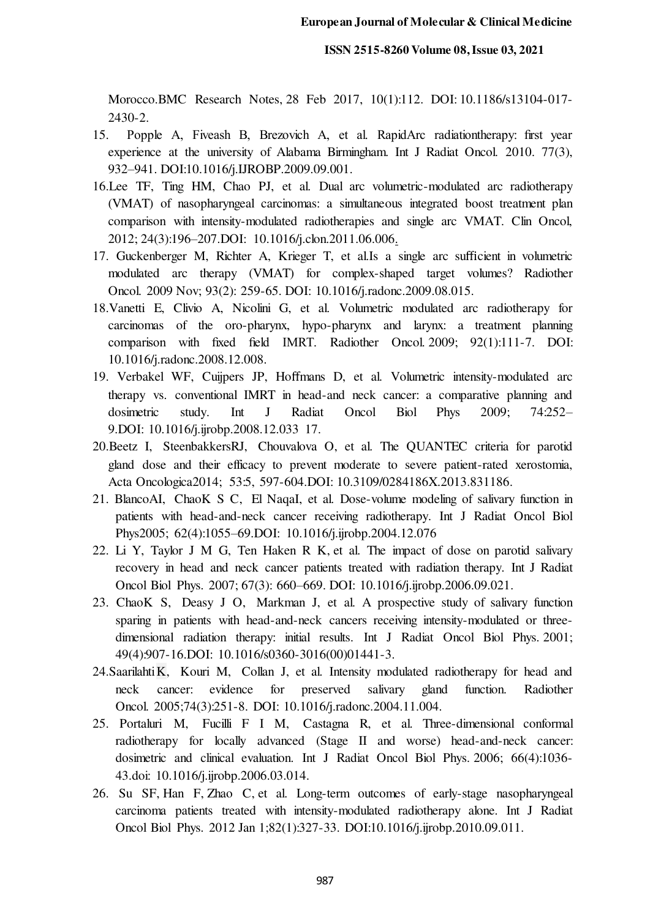Morocco.BMC Research Notes, 28 Feb 2017, 10(1):112. DOI[: 10.1186/s13104-017-](https://doi.org/10.1186/s13104-017-2430-2) [2430-2.](https://doi.org/10.1186/s13104-017-2430-2)

- 15. Popple A, Fiveash B, Brezovich A, et al. RapidArc radiationtherapy: first year experience at the university of Alabama Birmingham. Int J Radiat Oncol. [2010.](https://www.redjournal.org/issue/S0360-3016(10)X0008-6) 77(3), 932–941. DOI:10.1016/j.IJROBP.2009.09.001.
- 16.Lee TF, Ting HM, Chao PJ, et al. Dual arc volumetric-modulated arc radiotherapy (VMAT) of nasopharyngeal carcinomas: a simultaneous integrated boost treatment plan comparison with intensity-modulated radiotherapies and single arc VMAT. Clin Oncol, 2012; 24(3):196–207.DOI: 10.1016/j.clon.2011.06.006.
- 17. Guckenberger M, Richter A, Krieger T, et al.Is a single arc sufficient in volumetric modulated arc therapy (VMAT) for complex-shaped target volumes? Radiother Oncol. 2009 Nov; 93(2): 259-65. DOI: 10.1016/j.radonc.2009.08.015.
- 18.Vanetti E, Clivio A, Nicolini G, et al. Volumetric modulated arc radiotherapy for carcinomas of the oro-pharynx, hypo-pharynx and larynx: a treatment planning comparison with fixed field IMRT. Radiother Oncol. 2009; 92(1):111-7. DOI: 10.1016/j.radonc.2008.12.008.
- 19. Verbakel WF, Cuijpers JP, Hoffmans D, et al. Volumetric intensity-modulated arc therapy vs. conventional IMRT in head-and neck cancer: a comparative planning and dosimetric study. Int J Radiat Oncol Biol Phys 2009; 74:252– 9.DOI: [10.1016/j.ijrobp.2008.12.033](https://doi.org/10.1016/j.ijrobp.2008.12.033) 17.
- 20[.Beetz](https://pubmed.ncbi.nlm.nih.gov/?term=Beetz+I&cauthor_id=23998646) I, [SteenbakkersR](https://pubmed.ncbi.nlm.nih.gov/?term=Steenbakkers+RJ&cauthor_id=23998646)J, [Chouvalova](https://pubmed.ncbi.nlm.nih.gov/?term=Chouvalova+O&cauthor_id=23998646) O, et al. The QUANTEC criteria for parotid gland dose and their efficacy to prevent moderate to severe patient-rated xerostomia, Acta Oncologica2014; 53:5, 597-604.DOI: [10.3109/0284186X.2013.831186.](https://doi.org/10.3109/0284186x.2013.831186)
- 21[. BlancoA](https://pubmed.ncbi.nlm.nih.gov/?term=Blanco+AI&cauthor_id=15990009)I, [ChaoK](https://pubmed.ncbi.nlm.nih.gov/?term=Chao+KS&cauthor_id=15990009) S [C, El Naqa](https://pubmed.ncbi.nlm.nih.gov/?term=El+Naqa+I&cauthor_id=15990009)I, et al. Dose-volume modeling of salivary function in patients with head-and-neck cancer receiving radiotherapy. Int J Radiat Oncol Biol Phys2005; 62(4):1055–69.DOI: [10.1016/j.ijrobp.2004.12.076](https://doi.org/10.1016/j.ijrobp.2004.12.076)
- 22[. Li](https://www.ncbi.nlm.nih.gov/pubmed/?term=Li%20Y%5BAuthor%5D&cauthor=true&cauthor_uid=17141973) Y, [Taylor](https://www.ncbi.nlm.nih.gov/pubmed/?term=Taylor%20JM%5BAuthor%5D&cauthor=true&cauthor_uid=17141973) J M G[, Ten Haken](https://www.ncbi.nlm.nih.gov/pubmed/?term=Ten%20Haken%20RK%5BAuthor%5D&cauthor=true&cauthor_uid=17141973) R K, et al. The impact of dose on parotid salivary recovery in head and neck cancer patients treated with radiation therapy. [Int J Radiat](https://www.ncbi.nlm.nih.gov/entrez/eutils/elink.fcgi?dbfrom=pubmed&retmode=ref&cmd=prlinks&id=17141973)  [Oncol Biol Phys. 2007; 67\(3\): 660](https://www.ncbi.nlm.nih.gov/entrez/eutils/elink.fcgi?dbfrom=pubmed&retmode=ref&cmd=prlinks&id=17141973)–669. DOI: [10.1016/j.ijrobp.2006.09.021.](https://dx.doi.org/10.1016%2Fj.ijrobp.2006.09.021)
- 23. [ChaoK](https://pubmed.ncbi.nlm.nih.gov/?term=Chao+KS&cauthor_id=11240231) S[, Deasy](https://pubmed.ncbi.nlm.nih.gov/?term=Deasy+JO&cauthor_id=11240231) J [O, Markman](https://pubmed.ncbi.nlm.nih.gov/?term=Markman+J&cauthor_id=11240231) J, et al. A prospective study of salivary function sparing in patients with head-and-neck cancers receiving intensity-modulated or threedimensional radiation therapy: initial results. Int J Radiat Oncol Biol Phys. 2001; 49(4):907-16.DOI: 10.1016/s0360-3016(00)01441-3.
- 24. Saarilahti [K,](https://pubmed.ncbi.nlm.nih.gov/15763305/#affiliation-1) [Kouri](https://pubmed.ncbi.nlm.nih.gov/?term=Kouri+M&cauthor_id=15763305) M, [Collan](https://pubmed.ncbi.nlm.nih.gov/?term=Collan+J&cauthor_id=15763305) J, et al. Intensity modulated radiotherapy for head and neck cancer: evidence for preserved salivary gland function. Radiother Oncol. 2005;74(3):251-8. DOI: 10.1016/j.radonc.2004.11.004.
- [25. Portaluri](https://pubmed.ncbi.nlm.nih.gov/?term=Portaluri+M&cauthor_id=16750321) M, [Fucilli](https://pubmed.ncbi.nlm.nih.gov/?term=Fucilli+FI&cauthor_id=16750321) F I [M, Castagna](https://pubmed.ncbi.nlm.nih.gov/?term=Castagna+R&cauthor_id=16750321) R, et al. Three-dimensional conformal radiotherapy for locally advanced (Stage II and worse) head-and-neck cancer: dosimetric and clinical evaluation. Int J Radiat Oncol Biol Phys. 2006; 66(4):1036- 43.doi: 10.1016/j.ijrobp.2006.03.014.
- 26. [Su](https://pubmed.ncbi.nlm.nih.gov/?term=Su+SF&cauthor_id=21035959) S[F, Han](https://pubmed.ncbi.nlm.nih.gov/?term=Han+F&cauthor_id=21035959) [F, Zhao](https://pubmed.ncbi.nlm.nih.gov/?term=Zhao+C&cauthor_id=21035959) C, et al. Long-term outcomes of early-stage nasopharyngeal carcinoma patients treated with intensity-modulated radiotherapy alone. Int J Radiat Oncol Biol Phys. 2012 Jan 1;82(1):327-33. DOI:10.1016/j.ijrobp.2010.09.011.